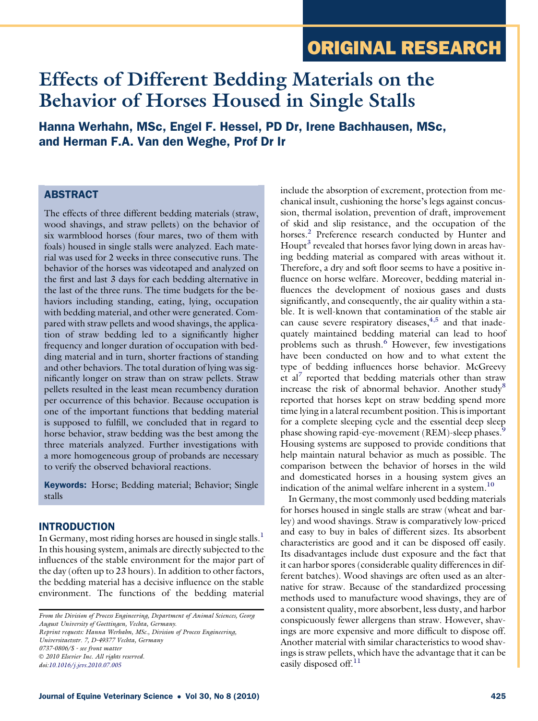# ORIGINAL RESEARCH

# Effects of Different Bedding Materials on the Behavior of Horses Housed in Single Stalls

Hanna Werhahn, MSc, Engel F. Hessel, PD Dr, Irene Bachhausen, MSc, and Herman F.A. Van den Weghe, Prof Dr Ir

# **ABSTRACT**

The effects of three different bedding materials (straw, wood shavings, and straw pellets) on the behavior of six warmblood horses (four mares, two of them with foals) housed in single stalls were analyzed. Each material was used for 2 weeks in three consecutive runs. The behavior of the horses was videotaped and analyzed on the first and last 3 days for each bedding alternative in the last of the three runs. The time budgets for the behaviors including standing, eating, lying, occupation with bedding material, and other were generated. Compared with straw pellets and wood shavings, the application of straw bedding led to a significantly higher frequency and longer duration of occupation with bedding material and in turn, shorter fractions of standing and other behaviors. The total duration of lying was significantly longer on straw than on straw pellets. Straw pellets resulted in the least mean recumbency duration per occurrence of this behavior. Because occupation is one of the important functions that bedding material is supposed to fulfill, we concluded that in regard to horse behavior, straw bedding was the best among the three materials analyzed. Further investigations with a more homogeneous group of probands are necessary to verify the observed behavioral reactions.

**Keywords:** Horse; Bedding material; Behavior; Single stalls

# INTRODUCTION

In Germany, most riding horses are housed in single stalls.<sup>1</sup> In this housing system, animals are directly subjected to the influences of the stable environment for the major part of the day (often up to 23 hours). In addition to other factors, the bedding material has a decisive influence on the stable environment. The functions of the bedding material

From the Division of Process Engineering, Department of Animal Sciences, Georg August University of Goettingen, Vechta, Germany. Reprint requests: Hanna Werhahn, MSc., Division of Process Engineering, Universitaetsstr. 7, D-49377 Vechta, Germany 0737-0806/\$ - see front matter 2010 Elsevier Inc. All rights reserved. doi:[10.1016/j.jevs.2010.07.005](http://dx.doi.org/10.1016/j.jevs.2010.07.005)

include the absorption of excrement, protection from mechanical insult, cushioning the horse's legs against concussion, thermal isolation, prevention of draft, improvement of skid and slip resistance, and the occupation of the horses.<sup>[2](#page-6-0)</sup> Preference research conducted by Hunter and Houpt<sup>[3](#page-6-0)</sup> revealed that horses favor lying down in areas having bedding material as compared with areas without it. Therefore, a dry and soft floor seems to have a positive influence on horse welfare. Moreover, bedding material influences the development of noxious gases and dusts significantly, and consequently, the air quality within a stable. It is well-known that contamination of the stable air can cause severe respiratory diseases, $4,5$  and that inadequately maintained bedding material can lead to hoof problems such as thrush.<sup>[6](#page-6-0)</sup> However, few investigations have been conducted on how and to what extent the type of bedding influences horse behavior. McGreevy et al<sup>[7](#page-6-0)</sup> reported that bedding materials other than straw increase the risk of abnormal behavior. Another study<sup>[8](#page-6-0)</sup> reported that horses kept on straw bedding spend more time lying in a lateral recumbent position. This is important for a complete sleeping cycle and the essential deep sleep phase showing rapid-eye-movement (REM)-sleep phases.<sup>5</sup> Housing systems are supposed to provide conditions that help maintain natural behavior as much as possible. The comparison between the behavior of horses in the wild and domesticated horses in a housing system gives an indication of the animal welfare inherent in a system.<sup>10</sup>

In Germany, the most commonly used bedding materials for horses housed in single stalls are straw (wheat and barley) and wood shavings. Straw is comparatively low-priced and easy to buy in bales of different sizes. Its absorbent characteristics are good and it can be disposed off easily. Its disadvantages include dust exposure and the fact that it can harbor spores (considerable quality differences in different batches). Wood shavings are often used as an alternative for straw. Because of the standardized processing methods used to manufacture wood shavings, they are of a consistent quality, more absorbent, less dusty, and harbor conspicuously fewer allergens than straw. However, shavings are more expensive and more difficult to dispose off. Another material with similar characteristics to wood shavings is straw pellets, which have the advantage that it can be easily disposed off.<sup>[11](#page-6-0)</sup>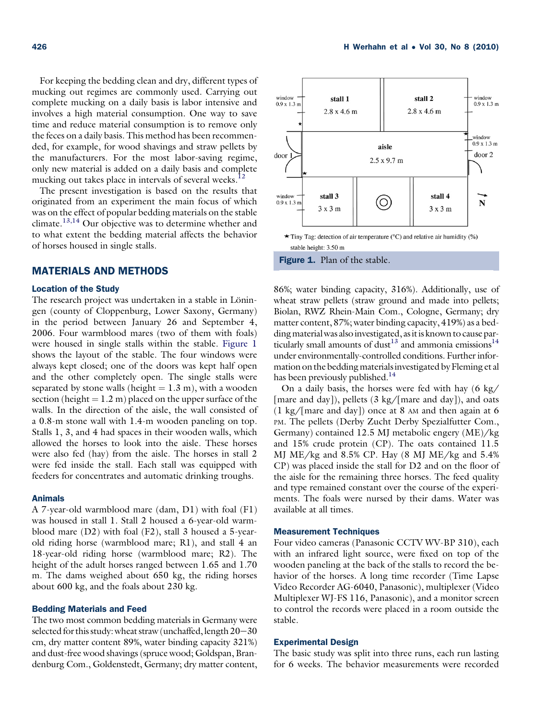For keeping the bedding clean and dry, different types of mucking out regimes are commonly used. Carrying out complete mucking on a daily basis is labor intensive and involves a high material consumption. One way to save time and reduce material consumption is to remove only the feces on a daily basis. This method has been recommended, for example, for wood shavings and straw pellets by the manufacturers. For the most labor-saving regime, only new material is added on a daily basis and complete mucking out takes place in intervals of several weeks.<sup>[12](#page-6-0)</sup>

The present investigation is based on the results that originated from an experiment the main focus of which was on the effect of popular bedding materials on the stable climate.<sup>[13,14](#page-6-0)</sup> Our objective was to determine whether and to what extent the bedding material affects the behavior of horses housed in single stalls.

#### MATERIALS AND METHODS

#### Location of the Study

The research project was undertaken in a stable in Löningen (county of Cloppenburg, Lower Saxony, Germany) in the period between January 26 and September 4, 2006. Four warmblood mares (two of them with foals) were housed in single stalls within the stable. Figure 1 shows the layout of the stable. The four windows were always kept closed; one of the doors was kept half open and the other completely open. The single stalls were separated by stone walls (height  $= 1.3$  m), with a wooden section (height  $= 1.2$  m) placed on the upper surface of the walls. In the direction of the aisle, the wall consisted of a 0.8-m stone wall with 1.4-m wooden paneling on top. Stalls 1, 3, and 4 had spaces in their wooden walls, which allowed the horses to look into the aisle. These horses were also fed (hay) from the aisle. The horses in stall 2 were fed inside the stall. Each stall was equipped with feeders for concentrates and automatic drinking troughs.

#### Animals

A 7-year-old warmblood mare (dam, D1) with foal (F1) was housed in stall 1. Stall 2 housed a 6-year-old warmblood mare (D2) with foal (F2), stall 3 housed a 5-yearold riding horse (warmblood mare; R1), and stall 4 an 18-year-old riding horse (warmblood mare; R2). The height of the adult horses ranged between 1.65 and 1.70 m. The dams weighed about 650 kg, the riding horses about 600 kg, and the foals about 230 kg.

#### Bedding Materials and Feed

The two most common bedding materials in Germany were selected for this study: wheat straw (unchaffed, length  $20-30$ cm, dry matter content 89%, water binding capacity 321%) and dust-free wood shavings (spruce wood; Goldspan, Brandenburg Com., Goldenstedt, Germany; dry matter content,



86%; water binding capacity, 316%). Additionally, use of wheat straw pellets (straw ground and made into pellets; Biolan, RWZ Rhein-Main Com., Cologne, Germany; dry matter content, 87%; water binding capacity, 419%) as a bedding material was also investigated, as it is known to cause par-ticularly small amounts of dust<sup>[13](#page-6-0)</sup> and ammonia emissions<sup>[14](#page-6-0)</sup> under environmentally-controlled conditions. Further information on the bedding materials investigated by Fleming et al has been previously published.<sup>14</sup>

On a daily basis, the horses were fed with hay (6 kg/ [mare and day]), pellets (3 kg/[mare and day]), and oats  $(1 \text{ kg}/[\text{mare and day}])$  once at 8 AM and then again at 6 PM. The pellets (Derby Zucht Derby Spezialfutter Com., Germany) contained 12.5 MJ metabolic engery (ME)/kg and 15% crude protein (CP). The oats contained 11.5 MJ ME/kg and 8.5% CP. Hay (8 MJ ME/kg and 5.4% CP) was placed inside the stall for D2 and on the floor of the aisle for the remaining three horses. The feed quality and type remained constant over the course of the experiments. The foals were nursed by their dams. Water was available at all times.

## Measurement Techniques

Four video cameras (Panasonic CCTV WV-BP 310), each with an infrared light source, were fixed on top of the wooden paneling at the back of the stalls to record the behavior of the horses. A long time recorder (Time Lapse Video Recorder AG-6040, Panasonic), multiplexer (Video Multiplexer WJ-FS 116, Panasonic), and a monitor screen to control the records were placed in a room outside the stable.

#### Experimental Design

The basic study was split into three runs, each run lasting for 6 weeks. The behavior measurements were recorded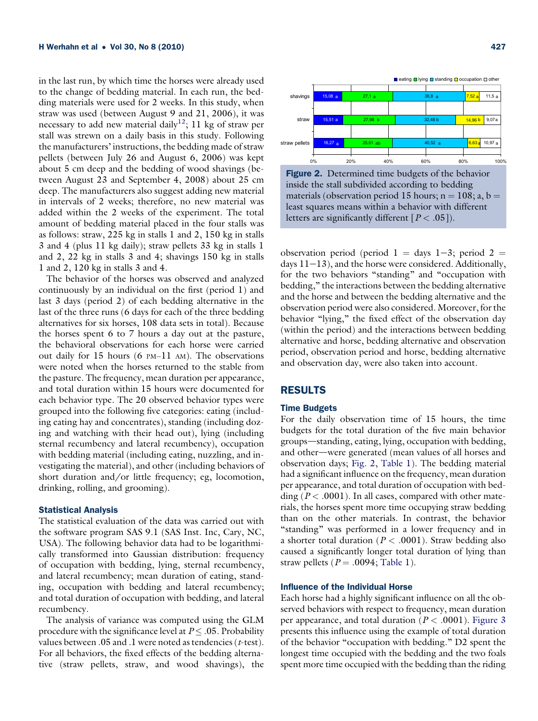in the last run, by which time the horses were already used to the change of bedding material. In each run, the bedding materials were used for 2 weeks. In this study, when straw was used (between August 9 and 21, 2006), it was necessary to add new material daily<sup>12</sup>; 11 kg of straw per stall was strewn on a daily basis in this study. Following the manufacturers' instructions, the bedding made of straw pellets (between July 26 and August 6, 2006) was kept about 5 cm deep and the bedding of wood shavings (between August 23 and September 4, 2008) about 25 cm deep. The manufacturers also suggest adding new material in intervals of 2 weeks; therefore, no new material was added within the 2 weeks of the experiment. The total amount of bedding material placed in the four stalls was as follows: straw, 225 kg in stalls 1 and 2, 150 kg in stalls 3 and 4 (plus 11 kg daily); straw pellets 33 kg in stalls 1 and 2, 22 kg in stalls 3 and 4; shavings 150 kg in stalls 1 and 2, 120 kg in stalls 3 and 4.

The behavior of the horses was observed and analyzed continuously by an individual on the first (period 1) and last 3 days (period 2) of each bedding alternative in the last of the three runs (6 days for each of the three bedding alternatives for six horses, 108 data sets in total). Because the horses spent 6 to 7 hours a day out at the pasture, the behavioral observations for each horse were carried out daily for  $15$  hours (6 PM-11 AM). The observations were noted when the horses returned to the stable from the pasture. The frequency, mean duration per appearance, and total duration within 15 hours were documented for each behavior type. The 20 observed behavior types were grouped into the following five categories: eating (including eating hay and concentrates), standing (including dozing and watching with their head out), lying (including sternal recumbency and lateral recumbency), occupation with bedding material (including eating, nuzzling, and investigating the material), and other (including behaviors of short duration and/or little frequency; eg, locomotion, drinking, rolling, and grooming).

#### Statistical Analysis

The statistical evaluation of the data was carried out with the software program SAS 9.1 (SAS Inst. Inc, Cary, NC, USA). The following behavior data had to be logarithmically transformed into Gaussian distribution: frequency of occupation with bedding, lying, sternal recumbency, and lateral recumbency; mean duration of eating, standing, occupation with bedding and lateral recumbency; and total duration of occupation with bedding, and lateral recumbency.

The analysis of variance was computed using the GLM procedure with the significance level at  $P \leq .05$ . Probability values between  $.05$  and  $.1$  were noted as tendencies ( $t$ -test). For all behaviors, the fixed effects of the bedding alternative (straw pellets, straw, and wood shavings), the



Figure 2. Determined time budgets of the behavior inside the stall subdivided according to bedding materials (observation period 15 hours;  $n = 108$ ; a, b = least squares means within a behavior with different letters are significantly different  $[P < .05]$ ).

observation period (period 1 = days 1-3; period 2 = days  $11-13$ ), and the horse were considered. Additionally, for the two behaviors "standing" and "occupation with bedding," the interactions between the bedding alternative and the horse and between the bedding alternative and the observation period were also considered. Moreover, for the behavior "lying," the fixed effect of the observation day (within the period) and the interactions between bedding alternative and horse, bedding alternative and observation period, observation period and horse, bedding alternative and observation day, were also taken into account.

#### RESULTS

#### Time Budgets

For the daily observation time of 15 hours, the time budgets for the total duration of the five main behavior groups—standing, eating, lying, occupation with bedding, and other-were generated (mean values of all horses and observation days; Fig. 2, [Table 1](#page-3-0)). The bedding material had a significant influence on the frequency, mean duration per appearance, and total duration of occupation with bedding ( $P < .0001$ ). In all cases, compared with other materials, the horses spent more time occupying straw bedding than on the other materials. In contrast, the behavior "standing" was performed in a lower frequency and in a shorter total duration ( $P < .0001$ ). Straw bedding also caused a significantly longer total duration of lying than straw pellets ( $P = .0094$ ; [Table 1](#page-3-0)).

## Influence of the Individual Horse

Each horse had a highly significant influence on all the observed behaviors with respect to frequency, mean duration per appearance, and total duration ( $P < .0001$ ). [Figure 3](#page-3-0) presents this influence using the example of total duration of the behavior "occupation with bedding." D2 spent the longest time occupied with the bedding and the two foals spent more time occupied with the bedding than the riding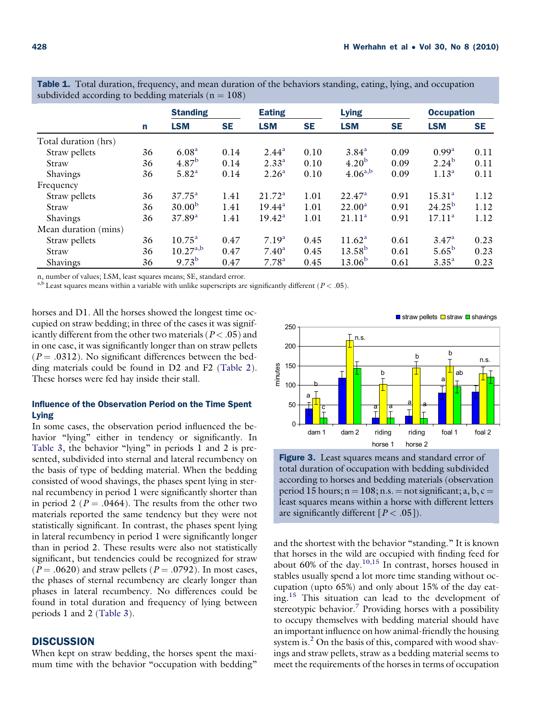|                      |    | <b>Standing</b>    |           | <b>Eating</b>      |           | <b>Lying</b>       |           | <b>Occupation</b>  |           |
|----------------------|----|--------------------|-----------|--------------------|-----------|--------------------|-----------|--------------------|-----------|
|                      | n  | <b>LSM</b>         | <b>SE</b> | <b>LSM</b>         | <b>SE</b> | <b>LSM</b>         | <b>SE</b> | <b>LSM</b>         | <b>SE</b> |
| Total duration (hrs) |    |                    |           |                    |           |                    |           |                    |           |
| Straw pellets        | 36 | 6.08 <sup>a</sup>  | 0.14      | $2.44^{\rm a}$     | 0.10      | 3.84 <sup>a</sup>  | 0.09      | 0.99 <sup>a</sup>  | 0.11      |
| Straw                | 36 | $4.87^{b}$         | 0.14      | $2.33^{a}$         | 0.10      | 4.20 <sup>b</sup>  | 0.09      | $2.24^{b}$         | 0.11      |
| Shavings             | 36 | 5.82 <sup>a</sup>  | 0.14      | 2.26 <sup>a</sup>  | 0.10      | $4.06^{a,b}$       | 0.09      | $1.13^{a}$         | 0.11      |
| Frequency            |    |                    |           |                    |           |                    |           |                    |           |
| Straw pellets        | 36 | $37.75^{\rm a}$    | 1.41      | 21.72 <sup>a</sup> | 1.01      | $22.47^{\rm a}$    | 0.91      | 15.31 <sup>a</sup> | 1.12      |
| Straw                | 36 | 30.00 <sup>b</sup> | 1.41      | $19.44^a$          | 1.01      | $22.00^a$          | 0.91      | $24.25^{b}$        | 1.12      |
| Shavings             | 36 | 37.89 <sup>a</sup> | 1.41      | $19.42^{\rm a}$    | 1.01      | 21.11 <sup>a</sup> | 0.91      | $17.11^a$          | 1.12      |
| Mean duration (mins) |    |                    |           |                    |           |                    |           |                    |           |
| Straw pellets        | 36 | $10.75^{\circ}$    | 0.47      | 7.19 <sup>a</sup>  | 0.45      | 11.62 <sup>a</sup> | 0.61      | $3.47^{\rm a}$     | 0.23      |
| Straw                | 36 | $10.27^{a,b}$      | 0.47      | $7.40^{\rm a}$     | 0.45      | $13.58^{b}$        | 0.61      | $5.65^{\rm b}$     | 0.23      |
| <b>Shavings</b>      | 36 | $9.73^{b}$         | 0.47      | $7.78^{a}$         | 0.45      | $13.06^{b}$        | 0.61      | $3.35^{a}$         | 0.23      |

<span id="page-3-0"></span>Table 1. Total duration, frequency, and mean duration of the behaviors standing, eating, lying, and occupation subdivided according to bedding materials ( $n = 108$ )

n, number of values; LSM, least squares means; SE, standard error.

<sup>a,b</sup> Least squares means within a variable with unlike superscripts are significantly different ( $P < .05$ ).

horses and D1. All the horses showed the longest time occupied on straw bedding; in three of the cases it was significantly different from the other two materials ( $P < .05$ ) and in one case, it was significantly longer than on straw pellets  $(P = .0312)$ . No significant differences between the bedding materials could be found in D2 and F2 ([Table 2](#page-4-0)). These horses were fed hay inside their stall.

# Influence of the Observation Period on the Time Spent Lying

In some cases, the observation period influenced the behavior "lying" either in tendency or significantly. In [Table 3](#page-5-0), the behavior "lying" in periods 1 and 2 is presented, subdivided into sternal and lateral recumbency on the basis of type of bedding material. When the bedding consisted of wood shavings, the phases spent lying in sternal recumbency in period 1 were significantly shorter than in period 2 ( $P = .0464$ ). The results from the other two materials reported the same tendency but they were not statistically significant. In contrast, the phases spent lying in lateral recumbency in period 1 were significantly longer than in period 2. These results were also not statistically significant, but tendencies could be recognized for straw  $(P = .0620)$  and straw pellets  $(P = .0792)$ . In most cases, the phases of sternal recumbency are clearly longer than phases in lateral recumbency. No differences could be found in total duration and frequency of lying between periods 1 and 2 ([Table 3\)](#page-5-0).

## **DISCUSSION**

When kept on straw bedding, the horses spent the maximum time with the behavior "occupation with bedding"



Figure 3. Least squares means and standard error of total duration of occupation with bedding subdivided according to horses and bedding materials (observation period 15 hours;  $n = 108$ ; n.s.  $=$  not significant; a, b, c  $=$ least squares means within a horse with different letters are significantly different  $[P < .05]$ ).

and the shortest with the behavior "standing." It is known that horses in the wild are occupied with finding feed for about 60% of the day. $10,15$  In contrast, horses housed in stables usually spend a lot more time standing without occupation (upto 65%) and only about 15% of the day eat-ing.<sup>[15](#page-6-0)</sup> This situation can lead to the development of stereotypic behavior.<sup>[7](#page-6-0)</sup> Providing horses with a possibility to occupy themselves with bedding material should have an important influence on how animal-friendly the housing system is.<sup>2</sup> On the basis of this, compared with wood shavings and straw pellets, straw as a bedding material seems to meet the requirements of the horses in terms of occupation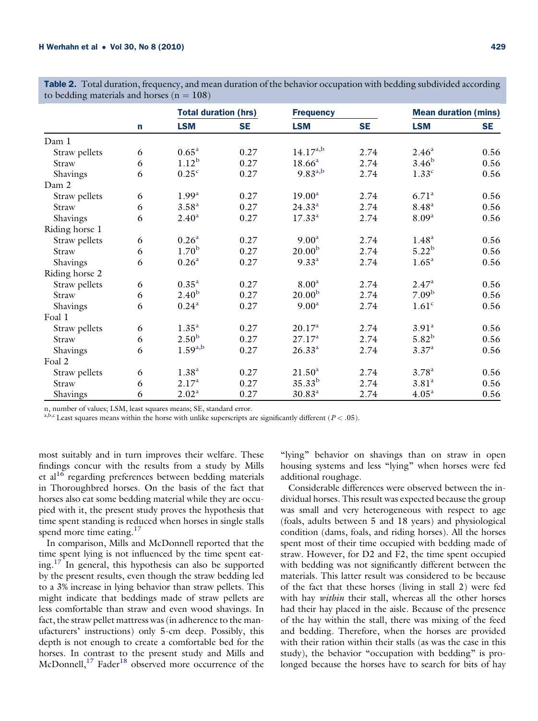|                |   |                   | <b>Total duration (hrs)</b> |                    |           | <b>Mean duration (mins)</b> |           |
|----------------|---|-------------------|-----------------------------|--------------------|-----------|-----------------------------|-----------|
|                | n | <b>LSM</b>        | <b>SE</b>                   | <b>LSM</b>         | <b>SE</b> | <b>LSM</b>                  | <b>SE</b> |
| Dam 1          |   |                   |                             |                    |           |                             |           |
| Straw pellets  | 6 | $0.65^{\rm a}$    | 0.27                        | $14.17^{a,b}$      | 2.74      | 2.46 <sup>a</sup>           | 0.56      |
| Straw          | 6 | $1.12^{b}$        | 0.27                        | $18.66^a$          | 2.74      | 3.46 <sup>b</sup>           | 0.56      |
| Shavings       | 6 | 0.25 <sup>c</sup> | 0.27                        | $9.83^{a,b}$       | 2.74      | 1.33 <sup>c</sup>           | 0.56      |
| Dam 2          |   |                   |                             |                    |           |                             |           |
| Straw pellets  | 6 | 1.99 <sup>a</sup> | 0.27                        | 19.00 <sup>a</sup> | 2.74      | 6.71 <sup>a</sup>           | 0.56      |
| Straw          | 6 | 3.58 <sup>a</sup> | 0.27                        | $24.33^{a}$        | 2.74      | $8.48^{a}$                  | 0.56      |
| Shavings       | 6 | $2.40^{\rm a}$    | 0.27                        | $17.33^{a}$        | 2.74      | 8.09 <sup>a</sup>           | 0.56      |
| Riding horse 1 |   |                   |                             |                    |           |                             |           |
| Straw pellets  | 6 | 0.26 <sup>a</sup> | 0.27                        | 9.00 <sup>a</sup>  | 2.74      | 1.48 <sup>a</sup>           | 0.56      |
| Straw          | 6 | 1.70 <sup>b</sup> | 0.27                        | 20.00 <sup>b</sup> | 2.74      | $5.22^{b}$                  | 0.56      |
| Shavings       | 6 | 0.26 <sup>a</sup> | 0.27                        | $9.33^{a}$         | 2.74      | 1.65 <sup>a</sup>           | 0.56      |
| Riding horse 2 |   |                   |                             |                    |           |                             |           |
| Straw pellets  | 6 | $0.35^{a}$        | 0.27                        | 8.00 <sup>a</sup>  | 2.74      | 2.47 <sup>a</sup>           | 0.56      |
| Straw          | 6 | 2.40 <sup>b</sup> | 0.27                        | 20.00 <sup>b</sup> | 2.74      | 7.09 <sup>b</sup>           | 0.56      |
| Shavings       | 6 | $0.24^{a}$        | 0.27                        | 9.00 <sup>a</sup>  | 2.74      | 1.61 <sup>c</sup>           | 0.56      |
| Foal 1         |   |                   |                             |                    |           |                             |           |
| Straw pellets  | 6 | 1.35 <sup>a</sup> | 0.27                        | 20.17 <sup>a</sup> | 2.74      | 3.91 <sup>a</sup>           | 0.56      |
| Straw          | 6 | 2.50 <sup>b</sup> | 0.27                        | 27.17 <sup>a</sup> | 2.74      | $5.82^{b}$                  | 0.56      |
| Shavings       | 6 | $1.59^{a,b}$      | 0.27                        | $26.33^{a}$        | 2.74      | $3.37^{a}$                  | 0.56      |
| Foal 2         |   |                   |                             |                    |           |                             |           |
| Straw pellets  | 6 | 1.38 <sup>a</sup> | 0.27                        | 21.50 <sup>a</sup> | 2.74      | 3.78 <sup>a</sup>           | 0.56      |
| Straw          | 6 | 2.17 <sup>a</sup> | 0.27                        | $35.33^{b}$        | 2.74      | 3.81 <sup>a</sup>           | 0.56      |
| Shavings       | 6 | 2.02 <sup>a</sup> | 0.27                        | $30.83^{a}$        | 2.74      | 4.05 <sup>a</sup>           | 0.56      |

<span id="page-4-0"></span>**Table 2.** Total duration, frequency, and mean duration of the behavior occupation with bedding subdivided according to bedding materials and horses ( $n = 108$ )

n, number of values; LSM, least squares means; SE, standard error.

a,b,c Least squares means within the horse with unlike superscripts are significantly different ( $P < .05$ ).

most suitably and in turn improves their welfare. These findings concur with the results from a study by Mills et al<sup>[16](#page-6-0)</sup> regarding preferences between bedding materials in Thoroughbred horses. On the basis of the fact that horses also eat some bedding material while they are occupied with it, the present study proves the hypothesis that time spent standing is reduced when horses in single stalls spend more time eating. $17$ 

In comparison, Mills and McDonnell reported that the time spent lying is not influenced by the time spent eat-ing.<sup>[17](#page-6-0)</sup> In general, this hypothesis can also be supported by the present results, even though the straw bedding led to a 3% increase in lying behavior than straw pellets. This might indicate that beddings made of straw pellets are less comfortable than straw and even wood shavings. In fact, the straw pellet mattress was (in adherence to the manufacturers' instructions) only 5-cm deep. Possibly, this depth is not enough to create a comfortable bed for the horses. In contrast to the present study and Mills and McDonnell, $^{17}$  $^{17}$  $^{17}$  Fader<sup>[18](#page-6-0)</sup> observed more occurrence of the

"lying" behavior on shavings than on straw in open housing systems and less "lying" when horses were fed additional roughage.

Considerable differences were observed between the individual horses. This result was expected because the group was small and very heterogeneous with respect to age (foals, adults between 5 and 18 years) and physiological condition (dams, foals, and riding horses). All the horses spent most of their time occupied with bedding made of straw. However, for D2 and F2, the time spent occupied with bedding was not significantly different between the materials. This latter result was considered to be because of the fact that these horses (living in stall 2) were fed with hay *within* their stall, whereas all the other horses had their hay placed in the aisle. Because of the presence of the hay within the stall, there was mixing of the feed and bedding. Therefore, when the horses are provided with their ration within their stalls (as was the case in this study), the behavior "occupation with bedding" is prolonged because the horses have to search for bits of hay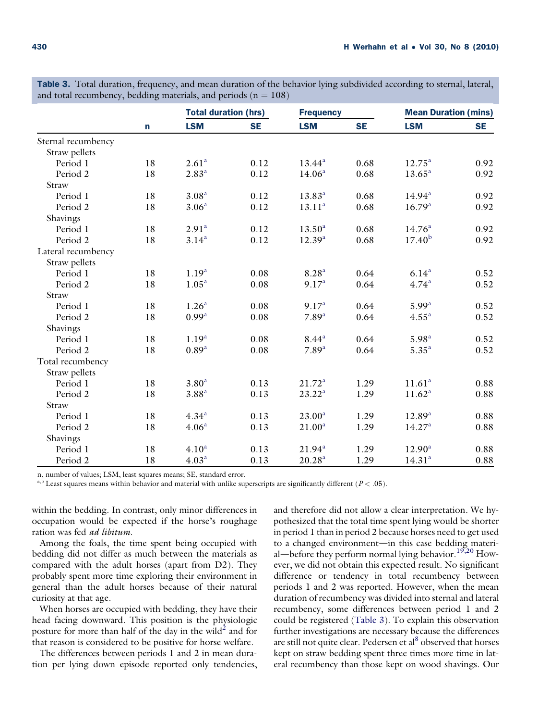|                    |    | <b>Total duration (hrs)</b> |           | <b>Frequency</b>   |           | <b>Mean Duration (mins)</b> |           |
|--------------------|----|-----------------------------|-----------|--------------------|-----------|-----------------------------|-----------|
|                    | n  | <b>LSM</b>                  | <b>SE</b> | <b>LSM</b>         | <b>SE</b> | <b>LSM</b>                  | <b>SE</b> |
| Sternal recumbency |    |                             |           |                    |           |                             |           |
| Straw pellets      |    |                             |           |                    |           |                             |           |
| Period 1           | 18 | 2.61 <sup>a</sup>           | 0.12      | $13.44^a$          | 0.68      | $12.75^{\circ}$             | 0.92      |
| Period 2           | 18 | $2.83^{a}$                  | 0.12      | 14.06 <sup>a</sup> | 0.68      | $13.65^a$                   | 0.92      |
| Straw              |    |                             |           |                    |           |                             |           |
| Period 1           | 18 | 3.08 <sup>a</sup>           | 0.12      | $13.83^{a}$        | 0.68      | 14.94 <sup>a</sup>          | 0.92      |
| Period 2           | 18 | 3.06 <sup>a</sup>           | 0.12      | 13.11 <sup>a</sup> | 0.68      | 16.79 <sup>a</sup>          | 0.92      |
| Shavings           |    |                             |           |                    |           |                             |           |
| Period 1           | 18 | 2.91 <sup>a</sup>           | 0.12      | 13.50 <sup>a</sup> | 0.68      | 14.76 <sup>a</sup>          | 0.92      |
| Period 2           | 18 | $3.14^{a}$                  | 0.12      | $12.39^{a}$        | 0.68      | $17.40^{b}$                 | 0.92      |
| Lateral recumbency |    |                             |           |                    |           |                             |           |
| Straw pellets      |    |                             |           |                    |           |                             |           |
| Period 1           | 18 | 1.19 <sup>a</sup>           | 0.08      | 8.28 <sup>a</sup>  | 0.64      | $6.14^{a}$                  | 0.52      |
| Period 2           | 18 | 1.05 <sup>a</sup>           | 0.08      | 9.17 <sup>a</sup>  | 0.64      | $4.74^{a}$                  | 0.52      |
| Straw              |    |                             |           |                    |           |                             |           |
| Period 1           | 18 | 1.26 <sup>a</sup>           | 0.08      | 9.17 <sup>a</sup>  | 0.64      | $5.99^{a}$                  | 0.52      |
| Period 2           | 18 | 0.99 <sup>a</sup>           | 0.08      | 7.89 <sup>a</sup>  | 0.64      | 4.55 <sup>a</sup>           | 0.52      |
| Shavings           |    |                             |           |                    |           |                             |           |
| Period 1           | 18 | 1.19 <sup>a</sup>           | 0.08      | 8.44 <sup>a</sup>  | 0.64      | $5.98^{a}$                  | 0.52      |
| Period 2           | 18 | $0.89^{a}$                  | 0.08      | $7.89^{a}$         | 0.64      | $5.35^{a}$                  | 0.52      |
| Total recumbency   |    |                             |           |                    |           |                             |           |
| Straw pellets      |    |                             |           |                    |           |                             |           |
| Period 1           | 18 | 3.80 <sup>a</sup>           | 0.13      | 21.72 <sup>a</sup> | 1.29      | 11.61 <sup>a</sup>          | 0.88      |
| Period 2           | 18 | 3.88 <sup>a</sup>           | 0.13      | $23.22^a$          | 1.29      | 11.62 <sup>a</sup>          | 0.88      |
| Straw              |    |                             |           |                    |           |                             |           |
| Period 1           | 18 | 4.34 <sup>a</sup>           | 0.13      | $23.00^a$          | 1.29      | $12.89^{a}$                 | 0.88      |
| Period 2           | 18 | 4.06 <sup>a</sup>           | 0.13      | 21.00 <sup>a</sup> | 1.29      | 14.27 <sup>a</sup>          | 0.88      |
| Shavings           |    |                             |           |                    |           |                             |           |
| Period 1           | 18 | 4.10 <sup>a</sup>           | 0.13      | $21.94^a$          | 1.29      | 12.90 <sup>a</sup>          | 0.88      |
| Period 2           | 18 | 4.03 <sup>a</sup>           | 0.13      | $20.28^{a}$        | 1.29      | 14.31 <sup>a</sup>          | 0.88      |

<span id="page-5-0"></span>Table 3. Total duration, frequency, and mean duration of the behavior lying subdivided according to sternal, lateral, and total recumbency, bedding materials, and periods  $(n = 108)$ 

n, number of values; LSM, least squares means; SE, standard error.

<sup>a,b</sup> Least squares means within behavior and material with unlike superscripts are significantly different ( $P < .05$ ).

within the bedding. In contrast, only minor differences in occupation would be expected if the horse's roughage ration was fed ad libitum.

Among the foals, the time spent being occupied with bedding did not differ as much between the materials as compared with the adult horses (apart from D2). They probably spent more time exploring their environment in general than the adult horses because of their natural curiosity at that age.

When horses are occupied with bedding, they have their head facing downward. This position is the physiologic posture for more than half of the day in the wild<sup>[2](#page-6-0)</sup> and for that reason is considered to be positive for horse welfare.

The differences between periods 1 and 2 in mean duration per lying down episode reported only tendencies, and therefore did not allow a clear interpretation. We hypothesized that the total time spent lying would be shorter in period 1 than in period 2 because horses need to get used to a changed environment-in this case bedding material—before they perform normal lying behavior.<sup>19,520</sup> However, we did not obtain this expected result. No significant difference or tendency in total recumbency between periods 1 and 2 was reported. However, when the mean duration of recumbency was divided into sternal and lateral recumbency, some differences between period 1 and 2 could be registered (Table 3). To explain this observation further investigations are necessary because the differences are still not quite clear. Pedersen et al<sup>[8](#page-6-0)</sup> observed that horses kept on straw bedding spent three times more time in lateral recumbency than those kept on wood shavings. Our